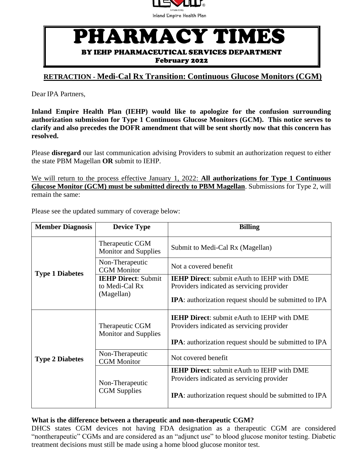

## PHARMACY TIMES

BY IEHP PHARMACEUTICAL SERVICES DEPARTMENT

February 2022

## **RETRACTION - Medi-Cal Rx Transition: Continuous Glucose Monitors (CGM)**

Dear IPA Partners,

**Inland Empire Health Plan (IEHP) would like to apologize for the confusion surrounding authorization submission for Type 1 Continuous Glucose Monitors (GCM). This notice serves to clarify and also precedes the DOFR amendment that will be sent shortly now that this concern has resolved.** 

Please **disregard** our last communication advising Providers to submit an authorization request to either the state PBM Magellan **OR** submit to IEHP.

We will return to the process effective January 1, 2022: **All authorizations for Type 1 Continuous Glucose Monitor (GCM) must be submitted directly to PBM Magellan**. Submissions for Type 2, will remain the same:

|  |  |  | Please see the updated summary of coverage below: |  |
|--|--|--|---------------------------------------------------|--|
|  |  |  |                                                   |  |
|  |  |  |                                                   |  |

| <b>Member Diagnosis</b> | <b>Device Type</b>                             | <b>Billing</b>                                                                                 |  |  |
|-------------------------|------------------------------------------------|------------------------------------------------------------------------------------------------|--|--|
|                         | Therapeutic CGM<br><b>Monitor and Supplies</b> | Submit to Medi-Cal Rx (Magellan)                                                               |  |  |
| <b>Type 1 Diabetes</b>  | Non-Therapeutic<br><b>CGM</b> Monitor          | Not a covered benefit                                                                          |  |  |
|                         | <b>IEHP Direct: Submit</b><br>to Medi-Cal Rx   | <b>IEHP Direct:</b> submit eAuth to IEHP with DME<br>Providers indicated as servicing provider |  |  |
|                         | (Magellan)                                     | <b>IPA</b> : authorization request should be submitted to IPA                                  |  |  |
|                         | Therapeutic CGM<br><b>Monitor and Supplies</b> | <b>IEHP Direct:</b> submit eAuth to IEHP with DME<br>Providers indicated as servicing provider |  |  |
|                         |                                                | <b>IPA</b> : authorization request should be submitted to IPA                                  |  |  |
| <b>Type 2 Diabetes</b>  | Non-Therapeutic<br><b>CGM</b> Monitor          | Not covered benefit                                                                            |  |  |
|                         | Non-Therapeutic                                | <b>IEHP Direct:</b> submit eAuth to IEHP with DME<br>Providers indicated as servicing provider |  |  |
|                         | <b>CGM</b> Supplies                            | <b>IPA</b> : authorization request should be submitted to IPA                                  |  |  |

## **What is the difference between a therapeutic and non-therapeutic CGM?**

DHCS states CGM devices not having FDA designation as a therapeutic CGM are considered "nontherapeutic" CGMs and are considered as an "adjunct use" to blood glucose monitor testing. Diabetic treatment decisions must still be made using a home blood glucose monitor test.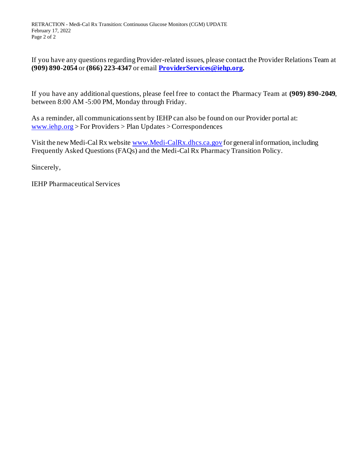If you have any questions regarding Provider-related issues, please contact the Provider Relations Team at **(909) 890-2054** or **(866) 223-4347** or email **[ProviderServices@iehp.org.](mailto:ProviderServices@iehp.org)**

If you have any additional questions, please feel free to contact the Pharmacy Team at **(909) 890-2049**, between 8:00 AM -5:00 PM, Monday through Friday.

As a reminder, all communications sent by IEHP can also be found on our Provider portal at: [www.iehp.org](http://www.iehp.org/) > For Providers > Plan Updates >Correspondences

Visit the new Medi-Cal Rx website www.Medi-CalRx.dhcs.ca.gov for general information, including Frequently Asked Questions (FAQs) and the Medi-Cal Rx Pharmacy Transition Policy.

Sincerely,

IEHP Pharmaceutical Services